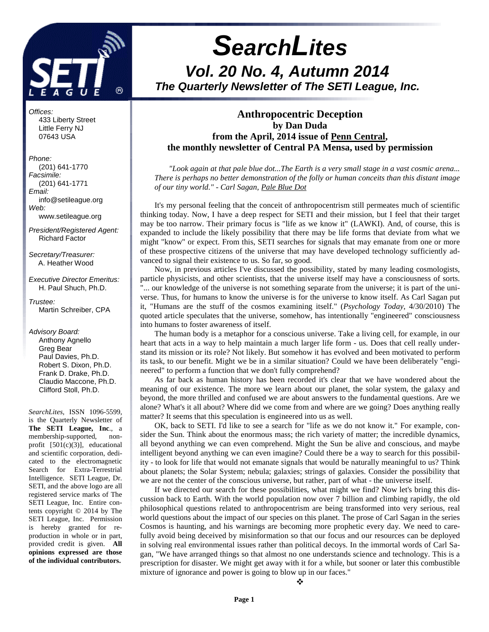

# **SearchLites Vol. 20 No. 4, Autumn 2014 The Quarterly Newsletter of The SETI League, Inc.**

#### **Anthropocentric Deception by Dan Duda from the April, 2014 issue of Penn Central, the monthly newsletter of Central PA Mensa, used by permission**

*"Look again at that pale blue dot...The Earth is a very small stage in a vast cosmic arena... There is perhaps no better demonstration of the folly or human conceits than this distant image of our tiny world." - Carl Sagan, Pale Blue Dot*

It's my personal feeling that the conceit of anthropocentrism still permeates much of scientific thinking today. Now, I have a deep respect for SETI and their mission, but I feel that their target may be too narrow. Their primary focus is "life as we know it" (LAWKI). And, of course, this is expanded to include the likely possibility that there may be life forms that deviate from what we might "know" or expect. From this, SETI searches for signals that may emanate from one or more of these prospective citizens of the universe that may have developed technology sufficiently advanced to signal their existence to us. So far, so good.

Now, in previous articles I've discussed the possibility, stated by many leading cosmologists, particle physicists, and other scientists, that the universe itself may have a consciousness of sorts. "... our knowledge of the universe is not something separate from the universe; it is part of the universe. Thus, for humans to know the universe is for the universe to know itself. As Carl Sagan put it, "Humans are the stuff of the cosmos examining itself." (*Psychology Today*, 4/30/2010) The quoted article speculates that the universe, somehow, has intentionally "engineered" consciousness into humans to foster awareness of itself.

The human body is a metaphor for a conscious universe. Take a living cell, for example, in our heart that acts in a way to help maintain a much larger life form - us. Does that cell really understand its mission or its role? Not likely. But somehow it has evolved and been motivated to perform its task, to our benefit. Might we be in a similar situation? Could we have been deliberately "engineered" to perform a function that we don't fully comprehend?

As far back as human history has been recorded it's clear that we have wondered about the meaning of our existence. The more we learn about our planet, the solar system, the galaxy and beyond, the more thrilled and confused we are about answers to the fundamental questions. Are we alone? What's it all about? Where did we come from and where are we going? Does anything really matter? It seems that this speculation is engineered into us as well.

OK, back to SETI. I'd like to see a search for "life as we do not know it." For example, consider the Sun. Think about the enormous mass; the rich variety of matter; the incredible dynamics, all beyond anything we can even comprehend. Might the Sun be alive and conscious, and maybe intelligent beyond anything we can even imagine? Could there be a way to search for this possibility - to look for life that would not emanate signals that would be naturally meaningful to us? Think about planets; the Solar System; nebula; galaxies; strings of galaxies. Consider the possibility that we are not the center of the conscious universe, but rather, part of what - the universe itself.

If we directed our search for these possibilities, what might we find? Now let's bring this discussion back to Earth. With the world population now over 7 billion and climbing rapidly, the old philosophical questions related to anthropocentrism are being transformed into very serious, real world questions about the impact of our species on this planet. The prose of Carl Sagan in the series Cosmos is haunting, and his warnings are becoming more prophetic every day. We need to carefully avoid being deceived by misinformation so that our focus and our resources can be deployed in solving real environmental issues rather than political decoys. In the immortal words of Carl Sagan, "We have arranged things so that almost no one understands science and technology. This is a prescription for disaster. We might get away with it for a while, but sooner or later this combustible mixture of ignorance and power is going to blow up in our faces."

 $\ddot{\cdot}$ 

 Little Ferry NJ 07643 USA Phone: (201) 641-1770 Facsimile: (201) 641-1771 Email:

433 Liberty Street

Offices:

 info@setileague.org Web: www.setileague.org

President/Registered Agent: Richard Factor

Secretary/Treasurer: A. Heather Wood

Executive Director Emeritus: H. Paul Shuch, Ph.D.

Trustee: Martin Schreiber, CPA

Advisory Board: Anthony Agnello Greg Bear Paul Davies, Ph.D. Robert S. Dixon, Ph.D. Frank D. Drake, Ph.D. Claudio Maccone, Ph.D. Clifford Stoll, Ph.D.

*SearchLites*, ISSN 1096-5599, is the Quarterly Newsletter of **The SETI League, Inc**., a membership-supported, nonprofit [501(c)(3)], educational and scientific corporation, dedicated to the electromagnetic Search for Extra-Terrestrial Intelligence. SETI League, Dr. SETI, and the above logo are all registered service marks of The SETI League, Inc. Entire contents copyright © 2014 by The SETI League, Inc. Permission is hereby granted for reproduction in whole or in part, provided credit is given. **All opinions expressed are those of the individual contributors.**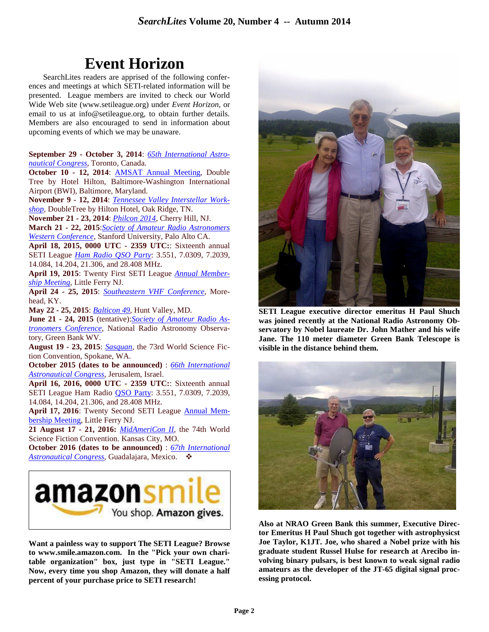# **Event Horizon**

SearchLites readers are apprised of the following conferences and meetings at which SETI-related information will be presented. League members are invited to check our World Wide Web site (www.setileague.org) under *Event Horizon*, or email to us at info@setileague.org, to obtain further details. Members are also encouraged to send in information about upcoming events of which we may be unaware.

**September 29 - October 3, 2014**: *65th International Astronautical Congress*, Toronto, Canada.

October 10 - 12, 2014: **AMSAT Annual Meeting**, Double Tree by Hotel Hilton, Baltimore-Washington International Airport (BWI), Baltimore, Maryland.

**November 9 - 12, 2014**: *Tennessee Valley Interstellar Workshop*, DoubleTree by Hilton Hotel, Oak Ridge, TN.

**November 21 - 23, 2014**: *Philcon 2014*, Cherry Hill, NJ.

**March 21 - 22, 2015**:*Society of Amateur Radio Astronomers Western Conference*, Stanford University, Palo Alto CA.

**April 18, 2015, 0000 UTC - 2359 UTC:**: Sixteenth annual SETI League *Ham Radio QSO Party*: 3.551, 7.0309, 7.2039, 14.084, 14.204, 21.306, and 28.408 MHz.

**April 19, 2015**: Twenty First SETI League *Annual Membership Meeting*, Little Ferry NJ.

**April 24 - 25, 2015**: *Southeastern VHF Conference*, Morehead, KY.

**May 22 - 25, 2015**: *Balticon 49*, Hunt Valley, MD.

**June 21 - 24, 2015** (tentative):*Society of Amateur Radio Astronomers Conference*, National Radio Astronomy Observatory, Green Bank WV.

**August 19 - 23, 2015**: *Sasquan*, the 73rd World Science Fiction Convention, Spokane, WA.

**October 2015 (dates to be announced)** : *66th International Astronautical Congress*, Jerusalem, Israel.

**April 16, 2016, 0000 UTC - 2359 UTC:**: Sixteenth annual SETI League Ham Radio QSO Party: 3.551, 7.0309, 7.2039, 14.084, 14.204, 21.306, and 28.408 MHz.

**April 17, 2016**: Twenty Second SETI League Annual Membership Meeting, Little Ferry NJ.

**21 August 17 - 21, 2016:** *MidAmeriCon II*, the 74th World Science Fiction Convention. Kansas City, MO.

**October 2016 (dates to be announced)** : *67th International Astronautical Congress*, Guadalajara, Mexico. -



**Want a painless way to support The SETI League? Browse to www.smile.amazon.com. In the "Pick your own charitable organization" box, just type in "SETI League." Now, every time you shop Amazon, they will donate a half percent of your purchase price to SETI research!** 



**SETI League executive director emeritus H Paul Shuch was joined recently at the National Radio Astronomy Observatory by Nobel laureate Dr. John Mather and his wife Jane. The 110 meter diameter Green Bank Telescope is visible in the distance behind them.** 



**Also at NRAO Green Bank this summer, Executive Director Emeritus H Paul Shuch got together with astrophysicst Joe Taylor, K1JT. Joe, who shared a Nobel prize with his graduate student Russel Hulse for research at Arecibo involving binary pulsars, is best known to weak signal radio amateurs as the developer of the JT-65 digital signal processing protocol.**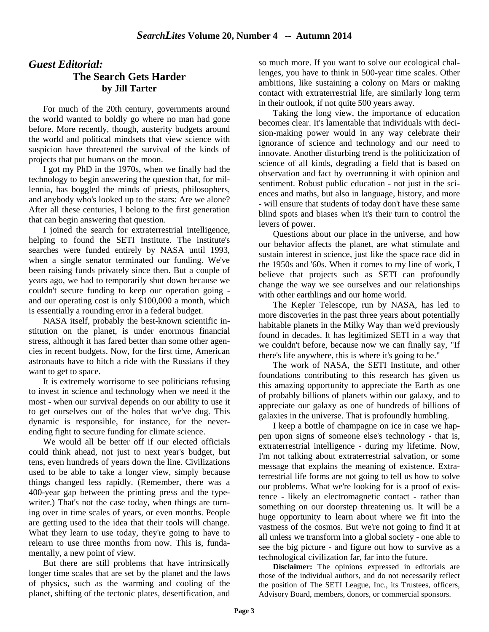### *Guest Editorial:*  **The Search Gets Harder by Jill Tarter**

For much of the 20th century, governments around the world wanted to boldly go where no man had gone before. More recently, though, austerity budgets around the world and political mindsets that view science with suspicion have threatened the survival of the kinds of projects that put humans on the moon.

I got my PhD in the 1970s, when we finally had the technology to begin answering the question that, for millennia, has boggled the minds of priests, philosophers, and anybody who's looked up to the stars: Are we alone? After all these centuries, I belong to the first generation that can begin answering that question.

I joined the search for extraterrestrial intelligence, helping to found the SETI Institute. The institute's searches were funded entirely by NASA until 1993, when a single senator terminated our funding. We've been raising funds privately since then. But a couple of years ago, we had to temporarily shut down because we couldn't secure funding to keep our operation going and our operating cost is only \$100,000 a month, which is essentially a rounding error in a federal budget.

NASA itself, probably the best-known scientific institution on the planet, is under enormous financial stress, although it has fared better than some other agencies in recent budgets. Now, for the first time, American astronauts have to hitch a ride with the Russians if they want to get to space.

It is extremely worrisome to see politicians refusing to invest in science and technology when we need it the most - when our survival depends on our ability to use it to get ourselves out of the holes that we've dug. This dynamic is responsible, for instance, for the neverending fight to secure funding for climate science.

We would all be better off if our elected officials could think ahead, not just to next year's budget, but tens, even hundreds of years down the line. Civilizations used to be able to take a longer view, simply because things changed less rapidly. (Remember, there was a 400-year gap between the printing press and the typewriter.) That's not the case today, when things are turning over in time scales of years, or even months. People are getting used to the idea that their tools will change. What they learn to use today, they're going to have to relearn to use three months from now. This is, fundamentally, a new point of view.

But there are still problems that have intrinsically longer time scales that are set by the planet and the laws of physics, such as the warming and cooling of the planet, shifting of the tectonic plates, desertification, and so much more. If you want to solve our ecological challenges, you have to think in 500-year time scales. Other ambitions, like sustaining a colony on Mars or making contact with extraterrestrial life, are similarly long term in their outlook, if not quite 500 years away.

Taking the long view, the importance of education becomes clear. It's lamentable that individuals with decision-making power would in any way celebrate their ignorance of science and technology and our need to innovate. Another disturbing trend is the politicization of science of all kinds, degrading a field that is based on observation and fact by overrunning it with opinion and sentiment. Robust public education - not just in the sciences and maths, but also in language, history, and more - will ensure that students of today don't have these same blind spots and biases when it's their turn to control the levers of power.

Questions about our place in the universe, and how our behavior affects the planet, are what stimulate and sustain interest in science, just like the space race did in the 1950s and '60s. When it comes to my line of work, I believe that projects such as SETI can profoundly change the way we see ourselves and our relationships with other earthlings and our home world.

The Kepler Telescope, run by NASA, has led to more discoveries in the past three years about potentially habitable planets in the Milky Way than we'd previously found in decades. It has legitimized SETI in a way that we couldn't before, because now we can finally say, "If there's life anywhere, this is where it's going to be."

The work of NASA, the SETI Institute, and other foundations contributing to this research has given us this amazing opportunity to appreciate the Earth as one of probably billions of planets within our galaxy, and to appreciate our galaxy as one of hundreds of billions of galaxies in the universe. That is profoundly humbling.

I keep a bottle of champagne on ice in case we happen upon signs of someone else's technology - that is, extraterrestrial intelligence - during my lifetime. Now, I'm not talking about extraterrestrial salvation, or some message that explains the meaning of existence. Extraterrestrial life forms are not going to tell us how to solve our problems. What we're looking for is a proof of existence - likely an electromagnetic contact - rather than something on our doorstep threatening us. It will be a huge opportunity to learn about where we fit into the vastness of the cosmos. But we're not going to find it at all unless we transform into a global society - one able to see the big picture - and figure out how to survive as a technological civilization far, far into the future.

 **Disclaimer:** The opinions expressed in editorials are those of the individual authors, and do not necessarily reflect the position of The SETI League, Inc., its Trustees, officers, Advisory Board, members, donors, or commercial sponsors.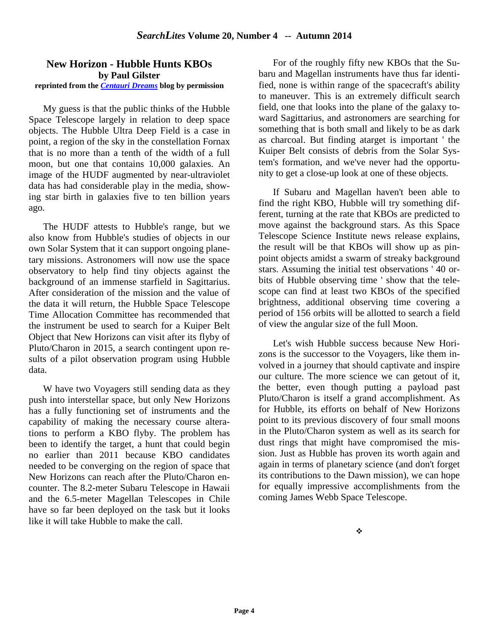#### **New Horizon - Hubble Hunts KBOs by Paul Gilster reprinted from the** *Centauri Dreams* **blog by permission**

My guess is that the public thinks of the Hubble Space Telescope largely in relation to deep space objects. The Hubble Ultra Deep Field is a case in point, a region of the sky in the constellation Fornax that is no more than a tenth of the width of a full moon, but one that contains 10,000 galaxies. An image of the HUDF augmented by near-ultraviolet data has had considerable play in the media, showing star birth in galaxies five to ten billion years ago.

The HUDF attests to Hubble's range, but we also know from Hubble's studies of objects in our own Solar System that it can support ongoing planetary missions. Astronomers will now use the space observatory to help find tiny objects against the background of an immense starfield in Sagittarius. After consideration of the mission and the value of the data it will return, the Hubble Space Telescope Time Allocation Committee has recommended that the instrument be used to search for a Kuiper Belt Object that New Horizons can visit after its flyby of Pluto/Charon in 2015, a search contingent upon results of a pilot observation program using Hubble data.

W have two Voyagers still sending data as they push into interstellar space, but only New Horizons has a fully functioning set of instruments and the capability of making the necessary course alterations to perform a KBO flyby. The problem has been to identify the target, a hunt that could begin no earlier than 2011 because KBO candidates needed to be converging on the region of space that New Horizons can reach after the Pluto/Charon encounter. The 8.2-meter Subaru Telescope in Hawaii and the 6.5-meter Magellan Telescopes in Chile have so far been deployed on the task but it looks like it will take Hubble to make the call.

For of the roughly fifty new KBOs that the Subaru and Magellan instruments have thus far identified, none is within range of the spacecraft's ability to maneuver. This is an extremely difficult search field, one that looks into the plane of the galaxy toward Sagittarius, and astronomers are searching for something that is both small and likely to be as dark as charcoal. But finding atarget is important ' the Kuiper Belt consists of debris from the Solar System's formation, and we've never had the opportunity to get a close-up look at one of these objects.

If Subaru and Magellan haven't been able to find the right KBO, Hubble will try something different, turning at the rate that KBOs are predicted to move against the background stars. As this Space Telescope Science Institute news release explains, the result will be that KBOs will show up as pinpoint objects amidst a swarm of streaky background stars. Assuming the initial test observations ' 40 orbits of Hubble observing time ' show that the telescope can find at least two KBOs of the specified brightness, additional observing time covering a period of 156 orbits will be allotted to search a field of view the angular size of the full Moon.

Let's wish Hubble success because New Horizons is the successor to the Voyagers, like them involved in a journey that should captivate and inspire our culture. The more science we can getout of it, the better, even though putting a payload past Pluto/Charon is itself a grand accomplishment. As for Hubble, its efforts on behalf of New Horizons point to its previous discovery of four small moons in the Pluto/Charon system as well as its search for dust rings that might have compromised the mission. Just as Hubble has proven its worth again and again in terms of planetary science (and don't forget its contributions to the Dawn mission), we can hope for equally impressive accomplishments from the coming James Webb Space Telescope.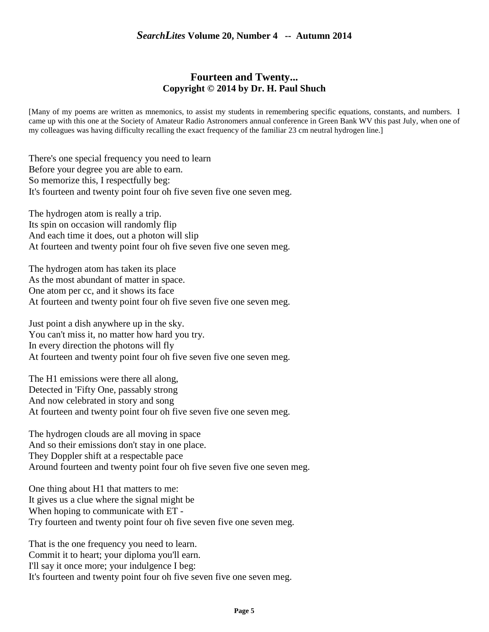#### **Fourteen and Twenty... Copyright © 2014 by Dr. H. Paul Shuch**

[Many of my poems are written as mnemonics, to assist my students in remembering specific equations, constants, and numbers. I came up with this one at the Society of Amateur Radio Astronomers annual conference in Green Bank WV this past July, when one of my colleagues was having difficulty recalling the exact frequency of the familiar 23 cm neutral hydrogen line.]

There's one special frequency you need to learn Before your degree you are able to earn. So memorize this, I respectfully beg: It's fourteen and twenty point four oh five seven five one seven meg.

The hydrogen atom is really a trip. Its spin on occasion will randomly flip And each time it does, out a photon will slip At fourteen and twenty point four oh five seven five one seven meg.

The hydrogen atom has taken its place As the most abundant of matter in space. One atom per cc, and it shows its face At fourteen and twenty point four oh five seven five one seven meg.

Just point a dish anywhere up in the sky. You can't miss it, no matter how hard you try. In every direction the photons will fly At fourteen and twenty point four oh five seven five one seven meg.

The H1 emissions were there all along, Detected in 'Fifty One, passably strong And now celebrated in story and song At fourteen and twenty point four oh five seven five one seven meg.

The hydrogen clouds are all moving in space And so their emissions don't stay in one place. They Doppler shift at a respectable pace Around fourteen and twenty point four oh five seven five one seven meg.

One thing about H1 that matters to me: It gives us a clue where the signal might be When hoping to communicate with ET - Try fourteen and twenty point four oh five seven five one seven meg.

That is the one frequency you need to learn. Commit it to heart; your diploma you'll earn. I'll say it once more; your indulgence I beg: It's fourteen and twenty point four oh five seven five one seven meg.